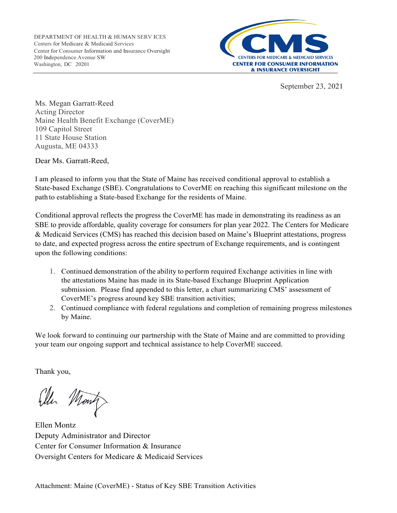

September 23, 2021

Ms. Megan Garratt-Reed Acting Director Maine Health Benefit Exchange (CoverME) 109 Capitol Street 11 State House Station Augusta, ME 04333

Dear Ms. Garratt-Reed,

I am pleased to inform you that the State of Maine has received conditional approval to establish a State-based Exchange (SBE). Congratulations to CoverME on reaching this significant milestone on the path to establishing a State-based Exchange for the residents of Maine.

Conditional approval reflects the progress the CoverME has made in demonstrating its readiness as an SBE to provide affordable, quality coverage for consumers for plan year 2022. The Centers for Medicare & Medicaid Services (CMS) has reached this decision based on Maine's Blueprint attestations, progress to date, and expected progress across the entire spectrum of Exchange requirements, and is contingent upon the following conditions:

- 1. Continued demonstration of the ability to perform required Exchange activities in line with the attestations Maine has made in its State-based Exchange Blueprint Application submission. Please find appended to this letter, a chart summarizing CMS' assessment of CoverME's progress around key SBE transition activities;
- 2. Continued compliance with federal regulations and completion of remaining progress milestones by Maine.

We look forward to continuing our partnership with the State of Maine and are committed to providing your team our ongoing support and technical assistance to help CoverME succeed.

Thank you,

Ellen Montz Deputy Administrator and Director Center for Consumer Information & Insurance Oversight Centers for Medicare & Medicaid Services